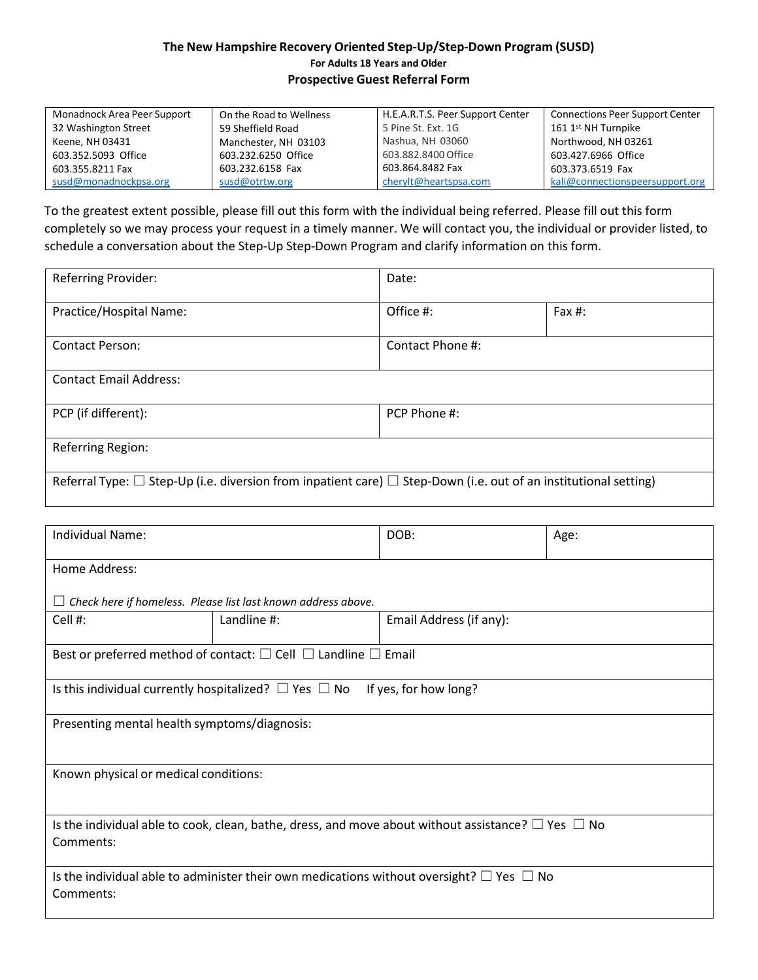## **The New Hampshire Recovery Oriented Step-Up/Step-Down Program (SUSD) For Adults 18 Years and Older Prospective Guest Referral Form**

| Monadnock Area Peer Support | On the Road to Wellness | H.E.A.R.T.S. Peer Support Center | <b>Connections Peer Support Center</b> |
|-----------------------------|-------------------------|----------------------------------|----------------------------------------|
| 32 Washington Street        | 59 Sheffield Road       | 5 Pine St. Ext. 1G               | 161 1 <sup>st</sup> NH Turnpike        |
| Keene, NH 03431             | Manchester, NH 03103    | Nashua, NH 03060                 | Northwood, NH 03261                    |
| 603.352.5093 Office         | 603.232.6250 Office     | 603.882.8400 Office              | 603.427.6966 Office                    |
| 603.355.8211 Fax            | 603.232.6158 Fax        | 603.864.8482 Fax                 | 603.373.6519 Fax                       |
| susd@monadnockpsa.org       | susd@otrtw.org          | cherylt@heartspsa.com            | kali@connectionspeersupport.org        |

To the greatest extent possible, please fill out this form with the individual being referred. Please fill out this form completely so we may process your request in a timely manner. We will contact you, the individual or provider listed, to schedule a conversation about the Step-Up Step-Down Program and clarify information on this form.

| Referring Provider:                                                                                                        | Date:            |           |  |  |
|----------------------------------------------------------------------------------------------------------------------------|------------------|-----------|--|--|
| Practice/Hospital Name:                                                                                                    | Office #:        | Fax $#$ : |  |  |
| <b>Contact Person:</b>                                                                                                     | Contact Phone #: |           |  |  |
| <b>Contact Email Address:</b>                                                                                              |                  |           |  |  |
| PCP (if different):                                                                                                        | PCP Phone #:     |           |  |  |
| Referring Region:                                                                                                          |                  |           |  |  |
| Referral Type: $\Box$ Step-Up (i.e. diversion from inpatient care) $\Box$ Step-Down (i.e. out of an institutional setting) |                  |           |  |  |

| Individual Name:                                                                                                          |             | DOB:                    | Age: |  |  |
|---------------------------------------------------------------------------------------------------------------------------|-------------|-------------------------|------|--|--|
| Home Address:                                                                                                             |             |                         |      |  |  |
| Check here if homeless. Please list last known address above.<br>⊔                                                        |             |                         |      |  |  |
| Cell #:                                                                                                                   | Landline #: | Email Address (if any): |      |  |  |
| Best or preferred method of contact: $\square$ Cell $\square$ Landline $\square$ Email                                    |             |                         |      |  |  |
| Is this individual currently hospitalized? $\Box$ Yes $\Box$ No<br>If yes, for how long?                                  |             |                         |      |  |  |
| Presenting mental health symptoms/diagnosis:                                                                              |             |                         |      |  |  |
| Known physical or medical conditions:                                                                                     |             |                         |      |  |  |
| Is the individual able to cook, clean, bathe, dress, and move about without assistance? $\Box$ Yes $\Box$ No<br>Comments: |             |                         |      |  |  |
| Is the individual able to administer their own medications without oversight? $\square$ Yes $\square$ No<br>Comments:     |             |                         |      |  |  |